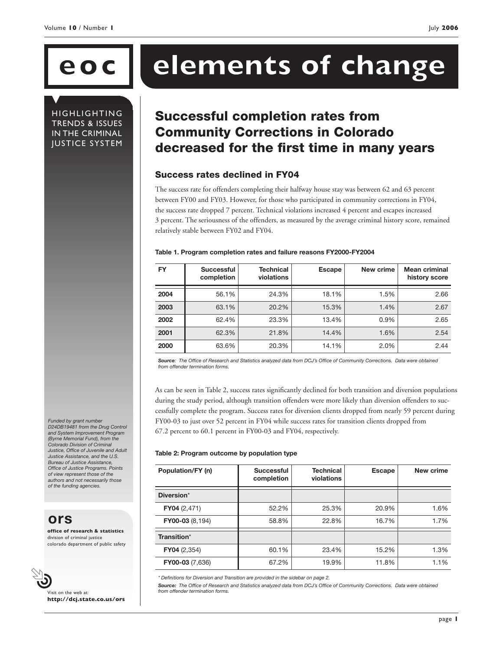**HIGHLIGHTING** TRENDS & ISSUES IN THE CRIMINAL JUSTICE SYSTEM

# **eoc elements of change**

## Successful completion rates from Community Corrections in Colorado decreased for the first time in many years

#### Success rates declined in FY04

The success rate for offenders completing their halfway house stay was between 62 and 63 percent between FY00 and FY03. However, for those who participated in community corrections in FY04, the success rate dropped 7 percent. Technical violations increased 4 percent and escapes increased 3 percent. The seriousness of the offenders, as measured by the average criminal history score, remained relatively stable between FY02 and FY04.

#### **Table 1. Program completion rates and failure reasons FY2000-FY2004**

| <b>FY</b> | <b>Successful</b><br>completion | Technical<br>violations | <b>Escape</b> | New crime | <b>Mean criminal</b><br>history score |
|-----------|---------------------------------|-------------------------|---------------|-----------|---------------------------------------|
| 2004      | 56.1%                           | 24.3%                   | 18.1%         | 1.5%      | 2.66                                  |
| 2003      | 63.1%                           | 20.2%                   | 15.3%         | 1.4%      | 2.67                                  |
| 2002      | 62.4%                           | 23.3%                   | 13.4%         | 0.9%      | 2.65                                  |
| 2001      | 62.3%                           | 21.8%                   | 14.4%         | 1.6%      | 2.54                                  |
| 2000      | 63.6%                           | 20.3%                   | 14.1%         | 2.0%      | 2.44                                  |

*Source: The Office of Research and Statistics analyzed data from DCJ's Office of Community Corrections. Data were obtained from offender termination forms.*

As can be seen in Table 2, success rates significantly declined for both transition and diversion populations during the study period, although transition offenders were more likely than diversion offenders to successfully complete the program. Success rates for diversion clients dropped from nearly 59 percent during FY00-03 to just over 52 percent in FY04 while success rates for transition clients dropped from 67.2 percent to 60.1 percent in FY00-03 and FY04, respectively.

#### **Table 2: Program outcome by population type**

| Population/FY (n)      | <b>Successful</b><br>completion | <b>Technical</b><br>violations | Escape | New crime |
|------------------------|---------------------------------|--------------------------------|--------|-----------|
| Diversion*             |                                 |                                |        |           |
| FY04(2,471)            | 52.2%                           | 25.3%                          | 20.9%  | 1.6%      |
| FY00-03 (8,194)        | 58.8%                           | 22.8%                          | 16.7%  | 1.7%      |
| Transition*            |                                 |                                |        |           |
| FY04(2,354)            | 60.1%                           | 23.4%                          | 15.2%  | 1.3%      |
| <b>FY00-03</b> (7,636) | 67.2%                           | 19.9%                          | 11.8%  | 1.1%      |

*\* Definitions for Diversion and Transition are provided in the sidebar on page 2.*

*Source: The Office of Research and Statistics analyzed data from DCJ's Office of Community Corrections. Data were obtained from offender termination forms.*

*Funded by grant number D24DB19481 from the Drug Control and System Improvement Program (Byrne Memorial Fund), from the Colorado Division of Criminal Justice, Office of Juvenile and Adult Justice Assistance, and the U.S. Bureau of Justice Assistance, Office of Justice Programs. Points of view represent those of the authors and not necessarily those of the funding agencies.*

**ors**

**office of research & statistics** division of criminal justice colorado department of public safety



Visit on the web at: **http://dcj.state.co.us/ors**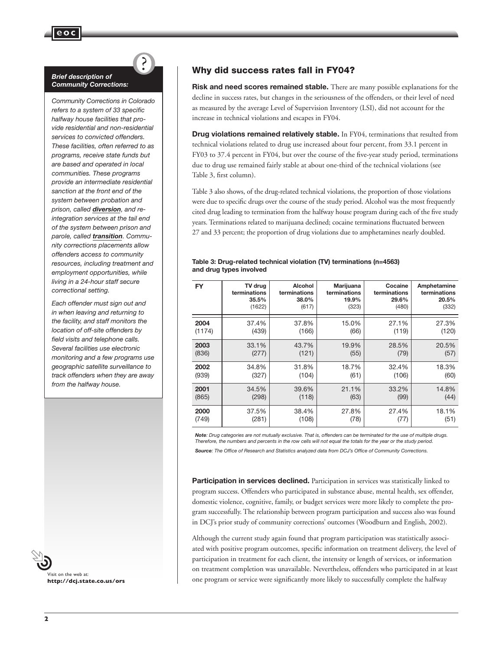#### *Brief description of Community Corrections:*

?

*Community Corrections in Colorado refers to a system of 33 specific halfway house facilities that provide residential and non-residential services to convicted offenders. These facilities, often referred to as programs, receive state funds but are based and operated in local communities. These programs provide an intermediate residential sanction at the front end of the system between probation and prison, called diversion, and reintegration services at the tail end of the system between prison and parole, called transition. Community corrections placements allow offenders access to community resources, including treatment and employment opportunities, while living in a 24-hour staff secure correctional setting.* 

*Each offender must sign out and in when leaving and returning to the facility, and staff monitors the location of off-site offenders by field visits and telephone calls. Several facilities use electronic monitoring and a few programs use geographic satellite surveillance to track offenders when they are away from the halfway house.*



#### Why did success rates fall in FY04?

**Risk and need scores remained stable.** There are many possible explanations for the decline in success rates, but changes in the seriousness of the offenders, or their level of need as measured by the average Level of Supervision Inventory (LSI), did not account for the increase in technical violations and escapes in FY04.

**Drug violations remained relatively stable.** In FY04, terminations that resulted from technical violations related to drug use increased about four percent, from 33.1 percent in FY03 to 37.4 percent in FY04, but over the course of the five-year study period, terminations due to drug use remained fairly stable at about one-third of the technical violations (see Table 3, first column).

Table 3 also shows, of the drug-related technical violations, the proportion of those violations were due to specific drugs over the course of the study period. Alcohol was the most frequently cited drug leading to termination from the halfway house program during each of the five study years. Terminations related to marijuana declined; cocaine terminations fluctuated between 27 and 33 percent; the proportion of drug violations due to amphetamines nearly doubled.

#### **Table 3: Drug-related technical violation (TV) terminations (n=4563) and drug types involved**

| <b>FY</b> | TV drug      | Alcohol      | Marijuana    | Cocaine      | Amphetamine  |
|-----------|--------------|--------------|--------------|--------------|--------------|
|           | terminations | terminations | terminations | terminations | terminations |
|           | 35.5%        | 38.0%        | 19.9%        | 29.6%        | 20.5%        |
|           | (1622)       | (617)        | (323)        | (480)        | (332)        |
| 2004      | 37.4%        | 37.8%        | 15.0%        | 27.1%        | 27.3%        |
| (1174)    | (439)        | (166)        | (66)         | (119)        | (120)        |
| 2003      | 33.1%        | 43.7%        | 19.9%        | 28.5%        | 20.5%        |
| (836)     | (277)        | (121)        | (55)         | (79)         | (57)         |
| 2002      | 34.8%        | 31.8%        | 18.7%        | 32.4%        | 18.3%        |
| (939)     | (327)        | (104)        | (61)         | (106)        | (60)         |
| 2001      | 34.5%        | 39.6%        | 21.1%        | 33.2%        | 14.8%        |
| (865)     | (298)        | (118)        | (63)         | (99)         | (44)         |
| 2000      | 37.5%        | 38.4%        | 27.8%        | 27.4%        | 18.1%        |
| (749)     | (281)        | (108)        | (78)         | (77)         | (51)         |

*Note: Drug categories are not mutually exclusive. That is, offenders can be terminated for the use of multiple drugs. Therefore, the numbers and percents in the row cells will not equal the totals for the year or the study period. Source: The Office of Research and Statistics analyzed data from DCJ's Office of Community Corrections.*

**Participation in services declined.** Participation in services was statistically linked to program success. Offenders who participated in substance abuse, mental health, sex offender, domestic violence, cognitive, family, or budget services were more likely to complete the program successfully. The relationship between program participation and success also was found in DCJ's prior study of community corrections' outcomes (Woodburn and English, 2002).

Although the current study again found that program participation was statistically associated with positive program outcomes, specific information on treatment delivery, the level of participation in treatment for each client, the intensity or length of services, or information on treatment completion was unavailable. Nevertheless, offenders who participated in at least one program or service were significantly more likely to successfully complete the halfway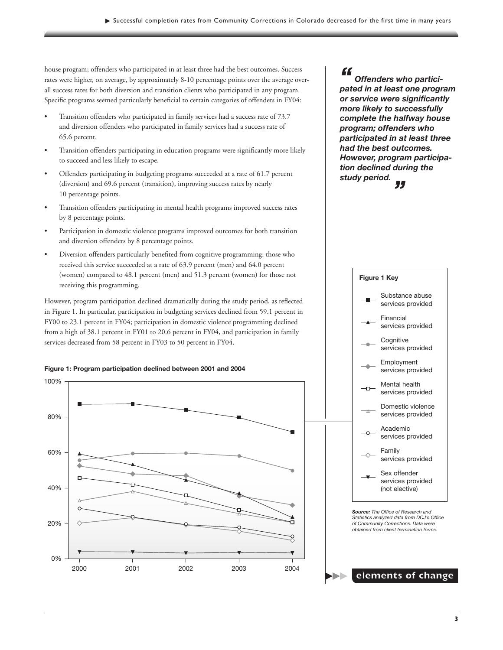house program; offenders who participated in at least three had the best outcomes. Success rates were higher, on average, by approximately 8-10 percentage points over the average overall success rates for both diversion and transition clients who participated in any program. Specific programs seemed particularly beneficial to certain categories of offenders in FY04:

- Transition offenders who participated in family services had a success rate of 73.7 and diversion offenders who participated in family services had a success rate of 65.6 percent.
- Transition offenders participating in education programs were significantly more likely to succeed and less likely to escape.
- Offenders participating in budgeting programs succeeded at a rate of 61.7 percent (diversion) and 69.6 percent (transition), improving success rates by nearly 10 percentage points.
- Transition offenders participating in mental health programs improved success rates by 8 percentage points.
- Participation in domestic violence programs improved outcomes for both transition and diversion offenders by 8 percentage points.
- Diversion offenders particularly benefited from cognitive programming: those who received this service succeeded at a rate of 63.9 percent (men) and 64.0 percent (women) compared to 48.1 percent (men) and 51.3 percent (women) for those not receiving this programming.

However, program participation declined dramatically during the study period, as reflected in Figure 1. In particular, participation in budgeting services declined from 59.1 percent in FY00 to 23.1 percent in FY04; participation in domestic violence programming declined from a high of 38.1 percent in FY01 to 20.6 percent in FY04, and participation in family services decreased from 58 percent in FY03 to 50 percent in FY04.





*Offenders who participated in at least one program or service were significantly more likely to successfully complete the halfway house* 

*"*

*program; offenders who participated in at least three had the best outcomes. However, program participation declined during the study period. "*

> Sex offender services provided (not elective) Family services provided Academic services provided Domestic violence services provided Mental health services provided Employment services provided **Cognitive** services provided Financial services provided Substance abuse services provided **Figure 1 Key** *Source: The Office of Research and Statistics analyzed data from DCJ's Office of Community Corrections. Data were obtained from client termination forms.*

**elements of change**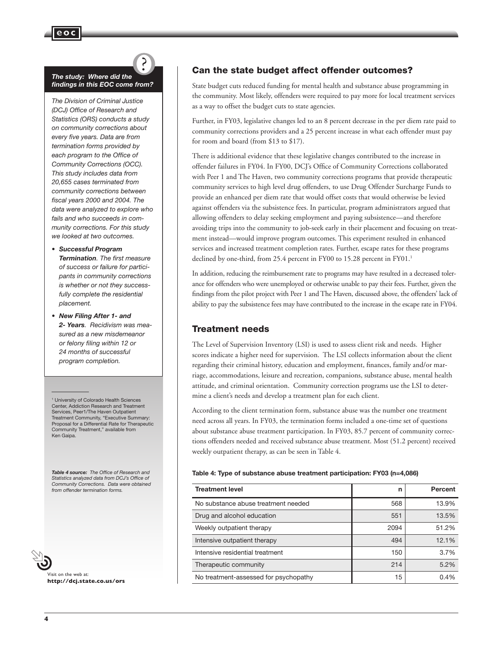#### *The study: Where did the findings in this EOC come from?*

**eoc**

*The Division of Criminal Justice (DCJ) Office of Research and Statistics (ORS) conducts a study on community corrections about every five years. Data are from termination forms provided by each program to the Office of Community Corrections (OCC). This study includes data from 20,655 cases terminated from community corrections between fiscal years 2000 and 2004. The data were analyzed to explore who fails and who succeeds in community corrections. For this study we looked at two outcomes.* 

#### *• Successful Program*

*Termination. The first measure of success or failure for participants in community corrections is whether or not they successfully complete the residential placement.*

*• New Filing After 1- and 2- Years. Recidivism was measured as a new misdemeanor or felony filing within 12 or 24 months of successful program completion.*

1 University of Colorado Health Sciences Center, Addiction Research and Treatment Services, Peer1/The Haven Outpatient Treatment Community, "Executive Summary: Proposal for a Differential Rate for Therapeutic Community Treatment," available from Ken Gaipa.

*Table 4 source: The Office of Research and Statistics analyzed data from DCJ's Office of Community Corrections. Data were obtained from offender termination forms.*

Visit on the web at: **http://dcj.state.co.us/ors**

### Can the state budget affect offender outcomes?

State budget cuts reduced funding for mental health and substance abuse programming in the community. Most likely, offenders were required to pay more for local treatment services as a way to offset the budget cuts to state agencies.

Further, in FY03, legislative changes led to an 8 percent decrease in the per diem rate paid to community corrections providers and a 25 percent increase in what each offender must pay for room and board (from \$13 to \$17).

There is additional evidence that these legislative changes contributed to the increase in offender failures in FY04. In FY00, DCJ's Office of Community Corrections collaborated with Peer 1 and The Haven, two community corrections programs that provide therapeutic community services to high level drug offenders, to use Drug Offender Surcharge Funds to provide an enhanced per diem rate that would offset costs that would otherwise be levied against offenders via the subsistence fees. In particular, program administrators argued that allowing offenders to delay seeking employment and paying subsistence—and therefore avoiding trips into the community to job-seek early in their placement and focusing on treatment instead—would improve program outcomes. This experiment resulted in enhanced services and increased treatment completion rates. Further, escape rates for these programs declined by one-third, from 25.4 percent in FY00 to 15.28 percent in FY01.<sup>1</sup>

In addition, reducing the reimbursement rate to programs may have resulted in a decreased tolerance for offenders who were unemployed or otherwise unable to pay their fees. Further, given the findings from the pilot project with Peer 1 and The Haven, discussed above, the offenders' lack of ability to pay the subsistence fees may have contributed to the increase in the escape rate in FY04.

#### Treatment needs

The Level of Supervision Inventory (LSI) is used to assess client risk and needs. Higher scores indicate a higher need for supervision. The LSI collects information about the client regarding their criminal history, education and employment, finances, family and/or marriage, accommodations, leisure and recreation, companions, substance abuse, mental health attitude, and criminal orientation. Community correction programs use the LSI to determine a client's needs and develop a treatment plan for each client.

According to the client termination form, substance abuse was the number one treatment need across all years. In FY03, the termination forms included a one-time set of questions about substance abuse treatment participation. In FY03, 85.7 percent of community corrections offenders needed and received substance abuse treatment. Most (51.2 percent) received weekly outpatient therapy, as can be seen in Table 4.

#### **Table 4: Type of substance abuse treatment participation: FY03 (n=4,086)**

| <b>Treatment level</b>                | n    | Percent |
|---------------------------------------|------|---------|
| No substance abuse treatment needed   | 568  | 13.9%   |
| Drug and alcohol education            | 551  | 13.5%   |
| Weekly outpatient therapy             | 2094 | 51.2%   |
| Intensive outpatient therapy          | 494  | 12.1%   |
| Intensive residential treatment       | 150  | 3.7%    |
| Therapeutic community                 | 214  | 5.2%    |
| No treatment-assessed for psychopathy | 15   | 0.4%    |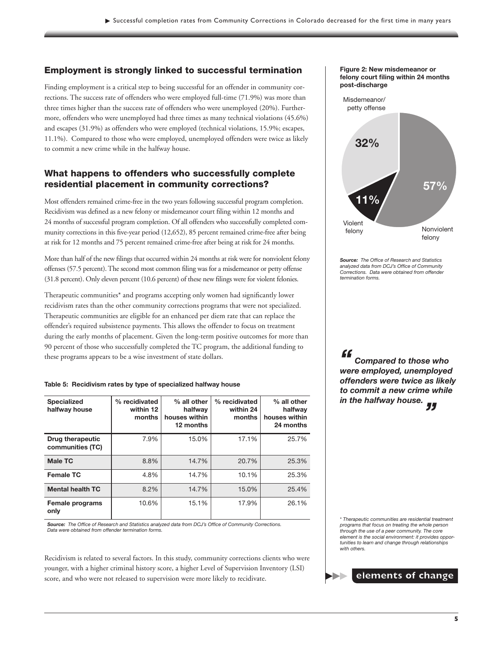#### Employment is strongly linked to successful termination

Finding employment is a critical step to being successful for an offender in community corrections. The success rate of offenders who were employed full-time (71.9%) was more than three times higher than the success rate of offenders who were unemployed (20%). Furthermore, offenders who were unemployed had three times as many technical violations (45.6%) and escapes (31.9%) as offenders who were employed (technical violations, 15.9%; escapes, 11.1%). Compared to those who were employed, unemployed offenders were twice as likely to commit a new crime while in the halfway house.

#### What happens to offenders who successfully complete residential placement in community corrections?

Most offenders remained crime-free in the two years following successful program completion. Recidivism was defined as a new felony or misdemeanor court filing within 12 months and 24 months of successful program completion. Of all offenders who successfully completed community corrections in this five-year period (12,652), 85 percent remained crime-free after being at risk for 12 months and 75 percent remained crime-free after being at risk for 24 months.

More than half of the new filings that occurred within 24 months at risk were for nonviolent felony offenses (57.5 percent). The second most common filing was for a misdemeanor or petty offense (31.8 percent). Only eleven percent (10.6 percent) of these new filings were for violent felonies.

Therapeutic communities\* and programs accepting only women had significantly lower recidivism rates than the other community corrections programs that were not specialized. Therapeutic communities are eligible for an enhanced per diem rate that can replace the offender's required subsistence payments. This allows the offender to focus on treatment during the early months of placement. Given the long-term positive outcomes for more than 90 percent of those who successfully completed the TC program, the additional funding to these programs appears to be a wise investment of state dollars.

|  | Table 5: Recidivism rates by type of specialized halfway house |  |  |  |  |  |
|--|----------------------------------------------------------------|--|--|--|--|--|
|--|----------------------------------------------------------------|--|--|--|--|--|

| <b>Specialized</b><br>halfway house         | % recidivated<br>within 12<br>months | % all other<br>halfway<br>houses within<br>12 months | % recidivated<br>within 24<br>months | % all other<br>halfway<br>houses within<br>24 months |  |
|---------------------------------------------|--------------------------------------|------------------------------------------------------|--------------------------------------|------------------------------------------------------|--|
| <b>Drug therapeutic</b><br>communities (TC) | 7.9%                                 | 15.0%                                                | 17.1%                                | 25.7%                                                |  |
| <b>Male TC</b>                              | 8.8%                                 | 14.7%                                                | 20.7%                                | 25.3%                                                |  |
| <b>Female TC</b>                            | 4.8%                                 | 14.7%                                                | 10.1%                                | 25.3%                                                |  |
| <b>Mental health TC</b>                     | 8.2%                                 | 14.7%                                                | 15.0%                                | 25.4%                                                |  |
| Female programs<br>only                     | 10.6%                                | 15.1%                                                | 17.9%                                | 26.1%                                                |  |

*Source: The Office of Research and Statistics analyzed data from DCJ's Office of Community Corrections. Data were obtained from offender termination forms.*

Recidivism is related to several factors. In this study, community corrections clients who were younger, with a higher criminal history score, a higher Level of Supervision Inventory (LSI) score, and who were not released to supervision were more likely to recidivate.

#### **Figure 2: New misdemeanor or felony court filing within 24 months post-discharge**



*Source: The Office of Research and Statistics analyzed data from DCJ's Office of Community Corrections. Data were obtained from offender termination forms.*

*"*

*Compared to those who were employed, unemployed offenders were twice as likely to commit a new crime while in the halfway house.* -<br>"

\* *Therapeutic communities are residential treatment programs that focus on treating the whole person through the use of a peer community. The core element is the social environment: it provides opportunities to learn and change through relationships with others.*